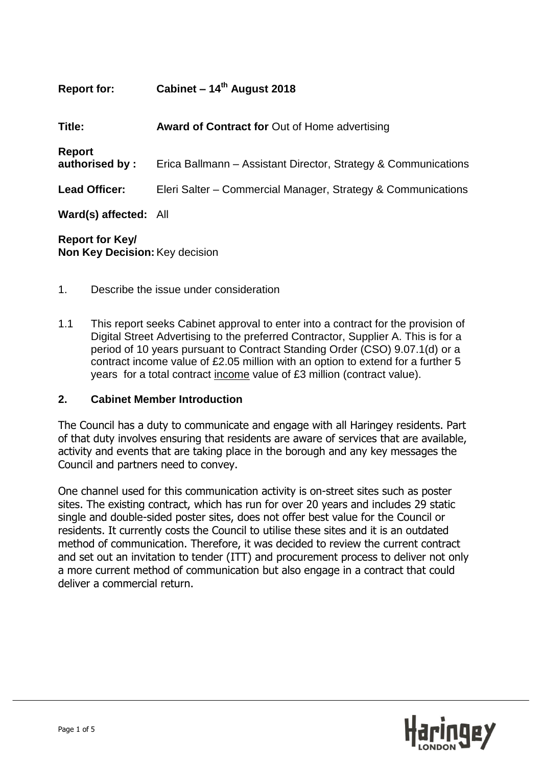| <b>Report for:</b>              | Cabinet – $14th$ August 2018                                   |
|---------------------------------|----------------------------------------------------------------|
| Title:                          | <b>Award of Contract for Out of Home advertising</b>           |
| <b>Report</b><br>authorised by: | Erica Ballmann - Assistant Director, Strategy & Communications |
| <b>Lead Officer:</b>            | Eleri Salter – Commercial Manager, Strategy & Communications   |
| Ward(s) affected: All           |                                                                |
| 8. <i>. .</i> . 17. 1           |                                                                |

**Report for Key/ Non Key Decision:**Key decision

- 1. Describe the issue under consideration
- 1.1 This report seeks Cabinet approval to enter into a contract for the provision of Digital Street Advertising to the preferred Contractor, Supplier A. This is for a period of 10 years pursuant to Contract Standing Order (CSO) 9.07.1(d) or a contract income value of £2.05 million with an option to extend for a further 5 years for a total contract income value of £3 million (contract value).

#### **2. Cabinet Member Introduction**

The Council has a duty to communicate and engage with all Haringey residents. Part of that duty involves ensuring that residents are aware of services that are available, activity and events that are taking place in the borough and any key messages the Council and partners need to convey.

One channel used for this communication activity is on-street sites such as poster sites. The existing contract, which has run for over 20 years and includes 29 static single and double-sided poster sites, does not offer best value for the Council or residents. It currently costs the Council to utilise these sites and it is an outdated method of communication. Therefore, it was decided to review the current contract and set out an invitation to tender (ITT) and procurement process to deliver not only a more current method of communication but also engage in a contract that could deliver a commercial return.

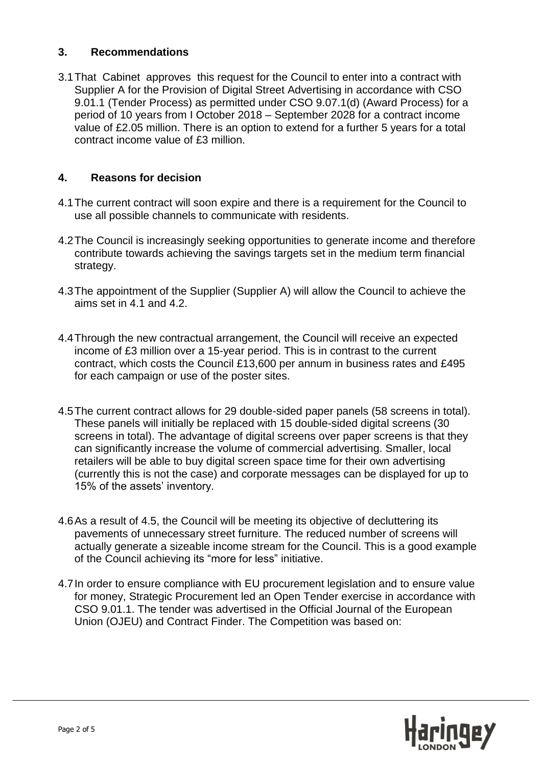### **3. Recommendations**

3.1That Cabinet approves this request for the Council to enter into a contract with Supplier A for the Provision of Digital Street Advertising in accordance with CSO 9.01.1 (Tender Process) as permitted under CSO 9.07.1(d) (Award Process) for a period of 10 years from I October 2018 – September 2028 for a contract income value of £2.05 million. There is an option to extend for a further 5 years for a total contract income value of £3 million.

# **4. Reasons for decision**

- 4.1The current contract will soon expire and there is a requirement for the Council to use all possible channels to communicate with residents.
- 4.2The Council is increasingly seeking opportunities to generate income and therefore contribute towards achieving the savings targets set in the medium term financial strategy.
- 4.3The appointment of the Supplier (Supplier A) will allow the Council to achieve the aims set in 4.1 and 4.2.
- 4.4Through the new contractual arrangement, the Council will receive an expected income of £3 million over a 15-year period. This is in contrast to the current contract, which costs the Council £13,600 per annum in business rates and £495 for each campaign or use of the poster sites.
- 4.5The current contract allows for 29 double-sided paper panels (58 screens in total). These panels will initially be replaced with 15 double-sided digital screens (30 screens in total). The advantage of digital screens over paper screens is that they can significantly increase the volume of commercial advertising. Smaller, local retailers will be able to buy digital screen space time for their own advertising (currently this is not the case) and corporate messages can be displayed for up to 15% of the assets' inventory.
- 4.6As a result of 4.5, the Council will be meeting its objective of decluttering its pavements of unnecessary street furniture. The reduced number of screens will actually generate a sizeable income stream for the Council. This is a good example of the Council achieving its "more for less" initiative.
- 4.7In order to ensure compliance with EU procurement legislation and to ensure value for money, Strategic Procurement led an Open Tender exercise in accordance with CSO 9.01.1. The tender was advertised in the Official Journal of the European Union (OJEU) and Contract Finder. The Competition was based on:

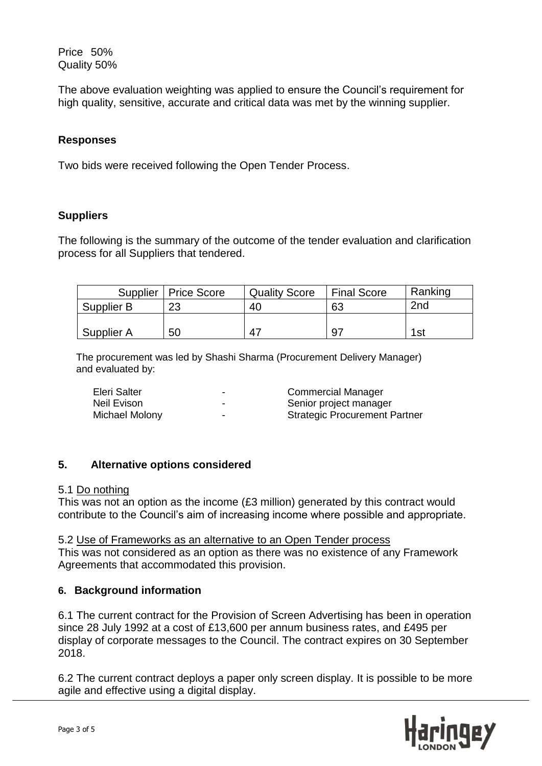Price 50% Quality 50%

The above evaluation weighting was applied to ensure the Council's requirement for high quality, sensitive, accurate and critical data was met by the winning supplier.

## **Responses**

Two bids were received following the Open Tender Process.

## **Suppliers**

The following is the summary of the outcome of the tender evaluation and clarification process for all Suppliers that tendered.

|            | Supplier   Price Score | <b>Quality Score</b> | <b>Final Score</b> | Ranking |
|------------|------------------------|----------------------|--------------------|---------|
| Supplier B | 23                     | 40                   | 63                 | 2nd     |
|            |                        |                      |                    |         |
| Supplier A | 50                     | -47                  | 97                 | 1st     |

The procurement was led by Shashi Sharma (Procurement Delivery Manager) and evaluated by:

| Eleri Salter   | - | <b>Commercial Manager</b>            |
|----------------|---|--------------------------------------|
| Neil Evison    | - | Senior project manager               |
| Michael Molony | - | <b>Strategic Procurement Partner</b> |

## **5. Alternative options considered**

#### 5.1 Do nothing

This was not an option as the income (£3 million) generated by this contract would contribute to the Council's aim of increasing income where possible and appropriate.

#### 5.2 Use of Frameworks as an alternative to an Open Tender process

This was not considered as an option as there was no existence of any Framework Agreements that accommodated this provision.

# **6. Background information**

6.1 The current contract for the Provision of Screen Advertising has been in operation since 28 July 1992 at a cost of £13,600 per annum business rates, and £495 per display of corporate messages to the Council. The contract expires on 30 September 2018.

6.2 The current contract deploys a paper only screen display. It is possible to be more agile and effective using a digital display.

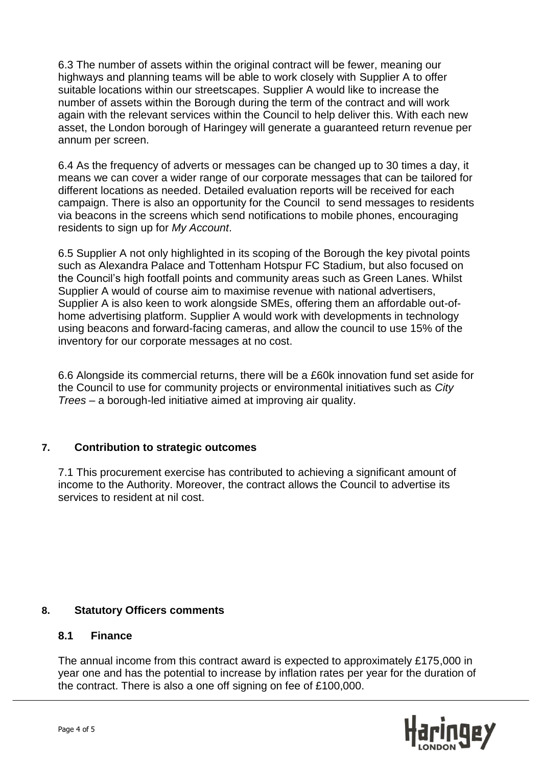6.3 The number of assets within the original contract will be fewer, meaning our highways and planning teams will be able to work closely with Supplier A to offer suitable locations within our streetscapes. Supplier A would like to increase the number of assets within the Borough during the term of the contract and will work again with the relevant services within the Council to help deliver this. With each new asset, the London borough of Haringey will generate a guaranteed return revenue per annum per screen.

6.4 As the frequency of adverts or messages can be changed up to 30 times a day, it means we can cover a wider range of our corporate messages that can be tailored for different locations as needed. Detailed evaluation reports will be received for each campaign. There is also an opportunity for the Council to send messages to residents via beacons in the screens which send notifications to mobile phones, encouraging residents to sign up for *My Account*.

6.5 Supplier A not only highlighted in its scoping of the Borough the key pivotal points such as Alexandra Palace and Tottenham Hotspur FC Stadium, but also focused on the Council's high footfall points and community areas such as Green Lanes. Whilst Supplier A would of course aim to maximise revenue with national advertisers, Supplier A is also keen to work alongside SMEs, offering them an affordable out-ofhome advertising platform. Supplier A would work with developments in technology using beacons and forward-facing cameras, and allow the council to use 15% of the inventory for our corporate messages at no cost.

6.6 Alongside its commercial returns, there will be a £60k innovation fund set aside for the Council to use for community projects or environmental initiatives such as *City Trees* – a borough-led initiative aimed at improving air quality.

## **7. Contribution to strategic outcomes**

7.1 This procurement exercise has contributed to achieving a significant amount of income to the Authority. Moreover, the contract allows the Council to advertise its services to resident at nil cost.

## **8. Statutory Officers comments**

## **8.1 Finance**

The annual income from this contract award is expected to approximately £175,000 in year one and has the potential to increase by inflation rates per year for the duration of the contract. There is also a one off signing on fee of £100,000.